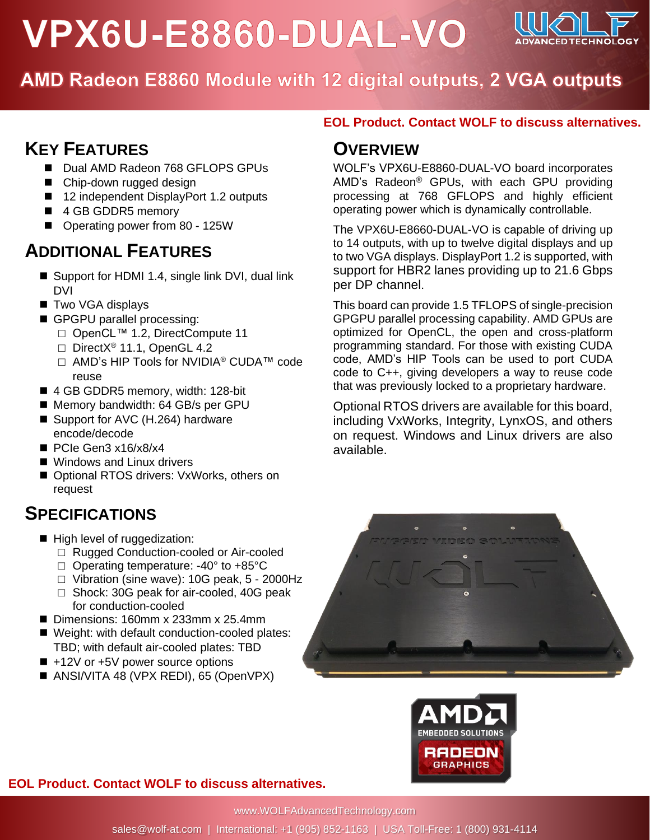# VPX6U-E8860-DUAL-VO



AMD Radeon E8860 Module with 12 digital outputs, 2 VGA outputs

## **KEY FEATURES**

- Dual AMD Radeon 768 GFLOPS GPUs
- Chip-down rugged design
- 12 independent DisplayPort 1.2 outputs
- 4 GB GDDR5 memory
- Operating power from 80 125W

## **ADDITIONAL FEATURES**

- Support for HDMI 1.4, single link DVI, dual link DVI
- Two VGA displays
- GPGPU parallel processing:
	- □ OpenCL™ 1.2, DirectCompute 11
	- □ DirectX<sup>®</sup> 11.1, OpenGL 4.2
	- □ AMD's HIP Tools for NVIDIA® CUDA™ code reuse
- 4 GB GDDR5 memory, width: 128-bit
- Memory bandwidth: 64 GB/s per GPU
- Support for AVC (H.264) hardware encode/decode
- PCIe Gen3 x16/x8/x4
- Windows and Linux drivers
- Optional RTOS drivers: VxWorks, others on request

### **SPECIFICATIONS**

- High level of ruggedization:
	- □ Rugged Conduction-cooled or Air-cooled
	- □ Operating temperature: -40° to +85°C
	- □ Vibration (sine wave): 10G peak, 5 2000Hz
	- □ Shock: 30G peak for air-cooled, 40G peak for conduction-cooled
- Dimensions: 160mm x 233mm x 25.4mm
- Weight: with default conduction-cooled plates: TBD; with default air-cooled plates: TBD
- +12V or +5V power source options
- ANSI/VITA 48 (VPX REDI), 65 (OpenVPX)

### **EOL Product. Contact WOLF to discuss alternatives.**

### **OVERVIEW**

WOLF's VPX6U-E8860-DUAL-VO board incorporates AMD's Radeon® GPUs, with each GPU providing processing at 768 GFLOPS and highly efficient operating power which is dynamically controllable.

The VPX6U-E8660-DUAL-VO is capable of driving up to 14 outputs, with up to twelve digital displays and up to two VGA displays. DisplayPort 1.2 is supported, with support for HBR2 lanes providing up to 21.6 Gbps per DP channel.

This board can provide 1.5 TFLOPS of single-precision GPGPU parallel processing capability. AMD GPUs are optimized for OpenCL, the open and cross-platform programming standard. For those with existing CUDA code, AMD's HIP Tools can be used to port CUDA code to C++, giving developers a way to reuse code that was previously locked to a proprietary hardware.

Optional RTOS drivers are available for this board, including VxWorks, Integrity, LynxOS, and others on request. Windows and Linux drivers are also available.



**EOL Product. Contact WOLF to discuss alternatives.**

www.WOLFAdvancedTechnology.com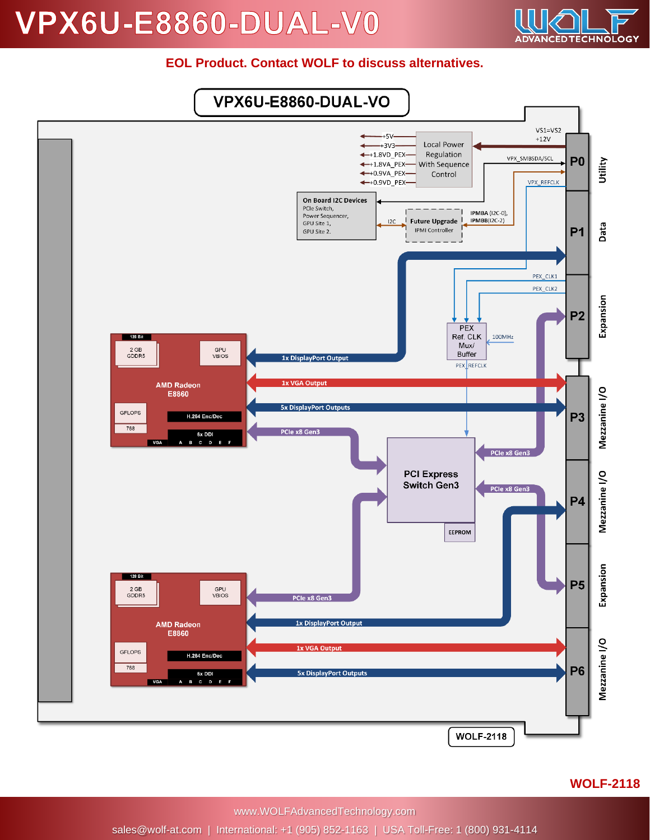## **VPX6U-E8860-DUAL-V0**



#### **EOL Product. Contact WOLF to discuss alternatives.**



www.WOLFAdvancedTechnology.com